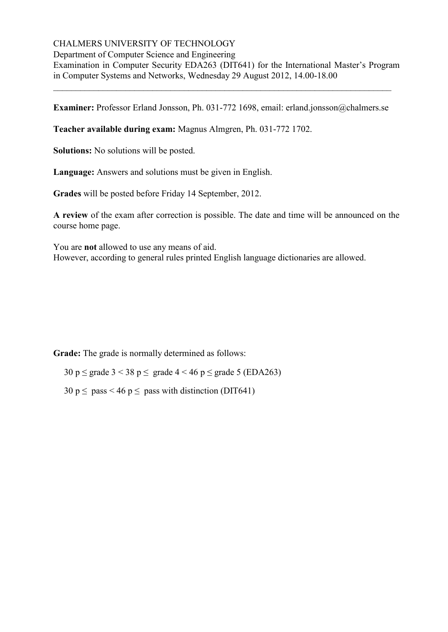# CHALMERS UNIVERSITY OF TECHNOLOGY

Department of Computer Science and Engineering

Examination in Computer Security EDA263 (DIT641) for the International Master's Program in Computer Systems and Networks, Wednesday 29 August 2012, 14.00-18.00

**Examiner:** Professor Erland Jonsson, Ph. 031-772 1698, email: erland.jonsson@chalmers.se

\_\_\_\_\_\_\_\_\_\_\_\_\_\_\_\_\_\_\_\_\_\_\_\_\_\_\_\_\_\_\_\_\_\_\_\_\_\_\_\_\_\_\_\_\_\_\_\_\_\_\_\_\_\_\_\_\_\_\_\_\_\_\_\_\_\_\_\_\_\_\_\_\_\_\_

**Teacher available during exam:** Magnus Almgren, Ph. 031-772 1702.

**Solutions:** No solutions will be posted.

**Language:** Answers and solutions must be given in English.

**Grades** will be posted before Friday 14 September, 2012.

**A review** of the exam after correction is possible. The date and time will be announced on the course home page.

You are **not** allowed to use any means of aid. However, according to general rules printed English language dictionaries are allowed.

**Grade:** The grade is normally determined as follows:

30 p  $\leq$  grade 3 < 38 p  $\leq$  grade 4 < 46 p  $\leq$  grade 5 (EDA263)

 $30 \text{ p} \le \text{pass} < 46 \text{ p} \le \text{pass with distinction (DIT641)}$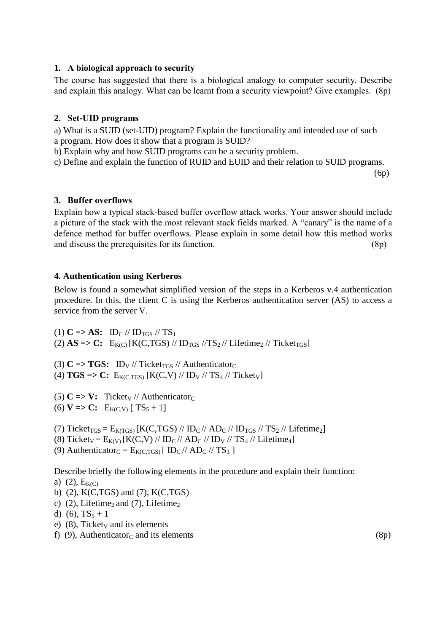## **1. A biological approach to security**

The course has suggested that there is a biological analogy to computer security. Describe and explain this analogy. What can be learnt from a security viewpoint? Give examples. (8p)

## **2. Set-UID programs**

a) What is a SUID (set-UID) program? Explain the functionality and intended use of such a program. How does it show that a program is SUID?

b) Explain why and how SUID programs can be a security problem.

c) Define and explain the function of RUID and EUID and their relation to SUID programs.

(6p)

## **3. Buffer overflows**

Explain how a typical stack-based buffer overflow attack works. Your answer should include a picture of the stack with the most relevant stack fields marked. A "canary" is the name of a defence method for buffer overflows. Please explain in some detail how this method works and discuss the prerequisites for its function. (8p)

## **4. Authentication using Kerberos**

Below is found a somewhat simplified version of the steps in a Kerberos v.4 authentication procedure. In this, the client C is using the Kerberos authentication server (AS) to access a service from the server V.

(1)  $C \Rightarrow AS: ID_C \text{ // ID}_{TGS} \text{ // } TS_1$ (2)  $\text{AS}$  => C: E<sub>K(C)</sub> [K(C,TGS) // ID<sub>TGS</sub> //TS<sub>2</sub> // Lifetime<sub>2</sub> // Ticket<sub>TGS</sub>]

(3)  $C \Rightarrow TGS: ID_V$  // Ticket<sub>TGS</sub> // Authenticator<sub>C</sub> (4)  $TGS = > C$ :  $E_{K(C, TGS)} [K(C, V) // ID<sub>V</sub> // TS<sub>4</sub> // Ticket<sub>V</sub>]$ 

(5)  $C \Rightarrow V:$  Ticket<sub>V</sub> // Authenticator<sub>C</sub>

(6)  $V = > C$ :  $E_{K(C,V)} [TS_5 + 1]$ 

(7) Ticket<sub>TGS</sub> =  $E_{K(TGS)}$  [K(C,TGS) // ID<sub>C</sub> // AD<sub>C</sub> // ID<sub>TGS</sub> // TS<sub>2</sub> // Lifetime<sub>2</sub>]

(8) Ticket<sub>V</sub> =  $E_{K(V)}$  [K(C,V) // ID<sub>C</sub> // AD<sub>C</sub> // ID<sub>V</sub> // TS<sub>4</sub> // Lifetime<sub>4</sub>]

(9) Authenticator<sub>C</sub> =  $E_{K(C, TGS)}$  [ ID<sub>C</sub> // AD<sub>C</sub> // TS<sub>3</sub> ]

Describe briefly the following elements in the procedure and explain their function:

#### a) (2),  $E_{K(C)}$

- b) (2), K(C,TGS) and (7), K(C,TGS)
- c) (2), Lifetime<sub>2</sub> and (7), Lifetime<sub>2</sub>
- d) (6),  $TS_5 + 1$
- e)  $(8)$ , Ticket<sub>v</sub> and its elements
- f) (9), Authenticator<sub>C</sub> and its elements (8p)